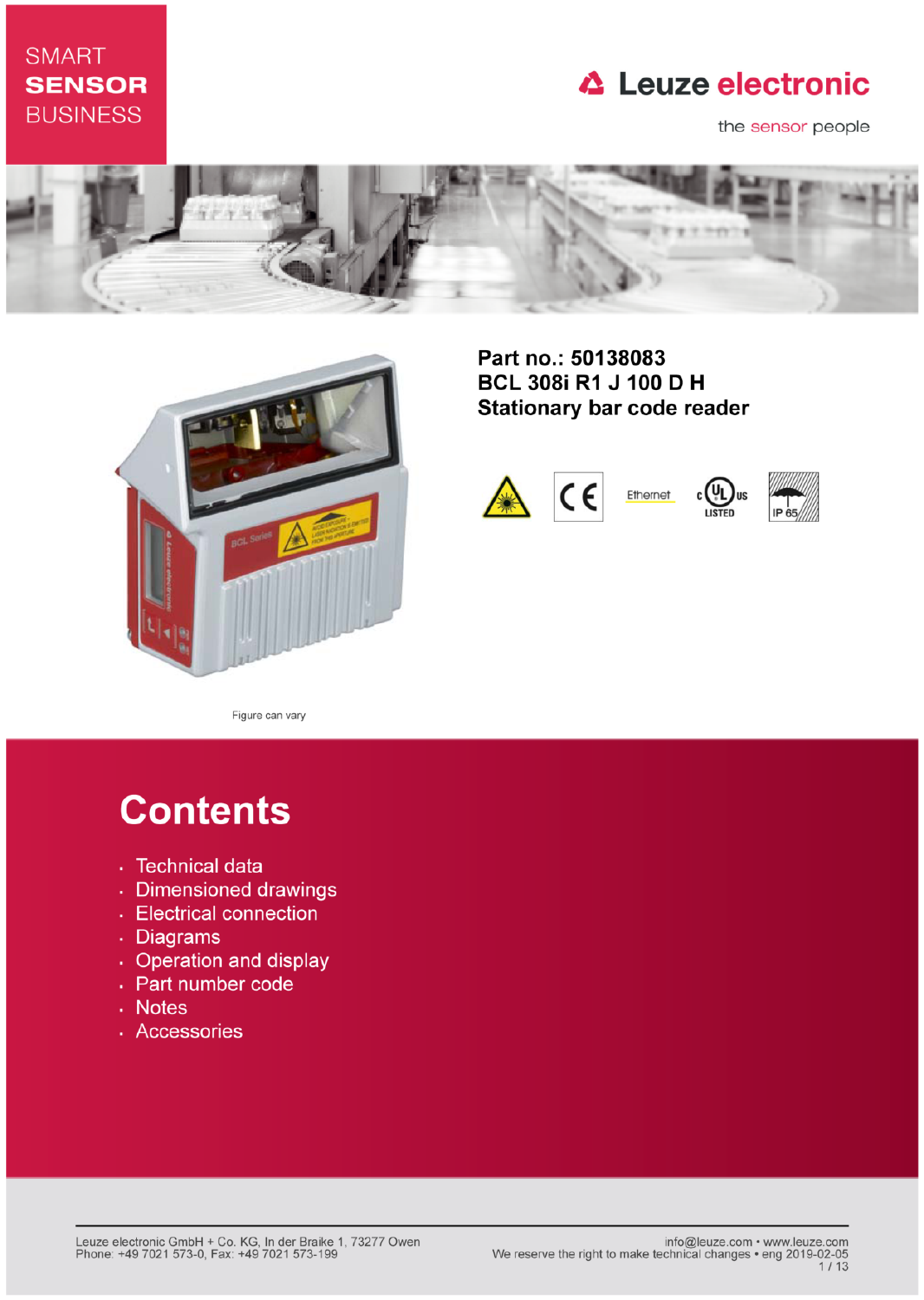# **SMART SENSOR BUSINESS**

# **△ Leuze electronic**

the sensor people





Part no.: 50138083 **BCL 308i R1 J 100 D H Stationary bar code reader** 





Figure can vary

# **Contents**

- · Technical data
- · Dimensioned drawings
- Electrical connection
- . Diagrams
- Operation and display
- Part number code
- Notes
- · Accessories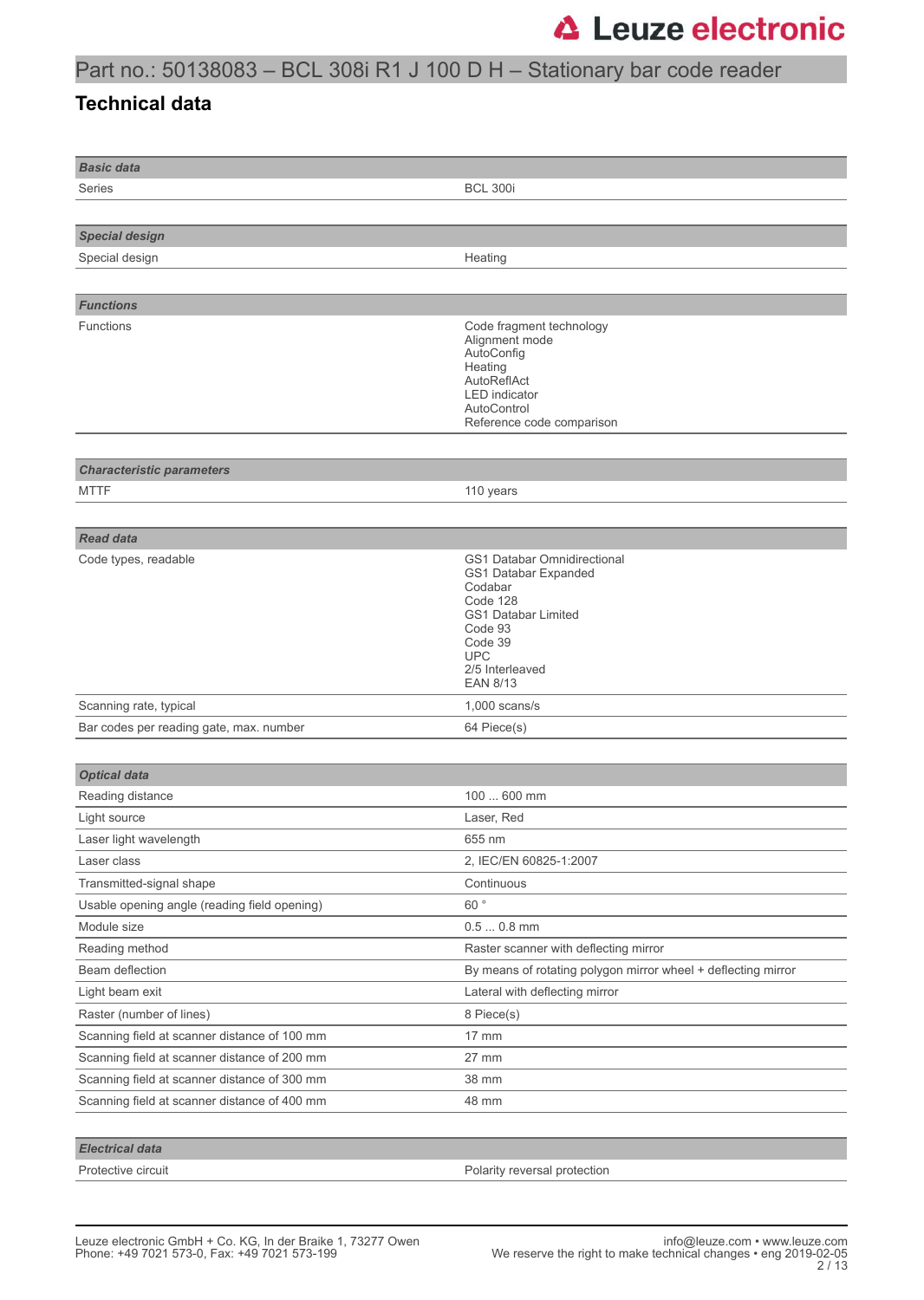# Part no.: 50138083 – BCL 308i R1 J 100 D H – Stationary bar code reader

### **Technical data**

| <b>Basic data</b>                            |                                                                                                                                                                                    |
|----------------------------------------------|------------------------------------------------------------------------------------------------------------------------------------------------------------------------------------|
| Series                                       | <b>BCL 300i</b>                                                                                                                                                                    |
|                                              |                                                                                                                                                                                    |
| <b>Special design</b>                        |                                                                                                                                                                                    |
| Special design                               | Heating                                                                                                                                                                            |
|                                              |                                                                                                                                                                                    |
| <b>Functions</b>                             |                                                                                                                                                                                    |
| Functions                                    | Code fragment technology<br>Alignment mode<br>AutoConfig<br>Heating<br>AutoReflAct<br><b>LED</b> indicator<br>AutoControl<br>Reference code comparison                             |
|                                              |                                                                                                                                                                                    |
| <b>Characteristic parameters</b><br>MTTF     | 110 years                                                                                                                                                                          |
|                                              |                                                                                                                                                                                    |
| <b>Read data</b>                             |                                                                                                                                                                                    |
| Code types, readable                         | GS1 Databar Omnidirectional<br>GS1 Databar Expanded<br>Codabar<br>Code 128<br><b>GS1 Databar Limited</b><br>Code 93<br>Code 39<br><b>UPC</b><br>2/5 Interleaved<br><b>EAN 8/13</b> |
| Scanning rate, typical                       | $1,000$ scans/s                                                                                                                                                                    |
| Bar codes per reading gate, max. number      | 64 Piece(s)                                                                                                                                                                        |
|                                              |                                                                                                                                                                                    |
| <b>Optical data</b>                          |                                                                                                                                                                                    |
| Reading distance                             | 100  600 mm                                                                                                                                                                        |
| Light source                                 | Laser, Red                                                                                                                                                                         |
| Laser light wavelength                       | 655 nm                                                                                                                                                                             |
| Laser class                                  | 2, IEC/EN 60825-1:2007                                                                                                                                                             |
| Transmitted-signal shape                     | Continuous                                                                                                                                                                         |
| Usable opening angle (reading field opening) | 60°                                                                                                                                                                                |
| Module size                                  | $0.50.8$ mm                                                                                                                                                                        |
| Reading method                               | Raster scanner with deflecting mirror                                                                                                                                              |
| Beam deflection                              | By means of rotating polygon mirror wheel + deflecting mirror                                                                                                                      |
| Light beam exit                              | Lateral with deflecting mirror                                                                                                                                                     |
| Raster (number of lines)                     | 8 Piece(s)                                                                                                                                                                         |
| Scanning field at scanner distance of 100 mm | 17 mm                                                                                                                                                                              |
| Scanning field at scanner distance of 200 mm | 27 mm                                                                                                                                                                              |
| Scanning field at scanner distance of 300 mm | 38 mm                                                                                                                                                                              |
| Scanning field at scanner distance of 400 mm | 48 mm                                                                                                                                                                              |
|                                              |                                                                                                                                                                                    |
| <b>Electrical data</b>                       |                                                                                                                                                                                    |
| Protective circuit                           | Polarity reversal protection                                                                                                                                                       |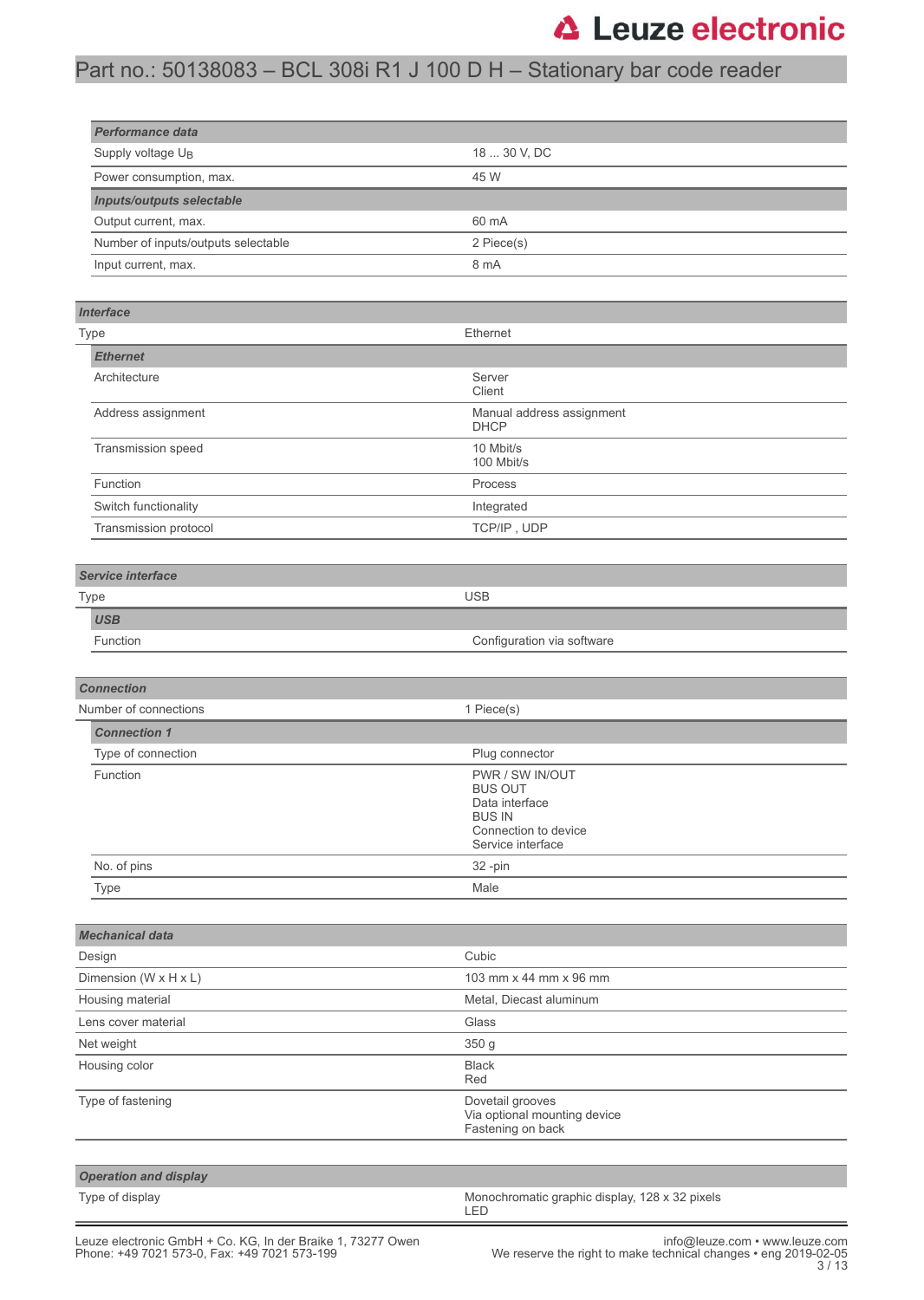# Part no.: 50138083 – BCL 308i R1 J 100 D H – Stationary bar code reader

| Performance data                    |              |  |  |
|-------------------------------------|--------------|--|--|
| Supply voltage U <sub>B</sub>       | 18  30 V, DC |  |  |
| Power consumption, max.             | 45 W         |  |  |
| <b>Inputs/outputs selectable</b>    |              |  |  |
| Output current, max.                | 60 mA        |  |  |
| Number of inputs/outputs selectable | 2 Piece(s)   |  |  |
| Input current, max.                 | 8 mA         |  |  |

| Type                  | Ethernet                                 |  |  |
|-----------------------|------------------------------------------|--|--|
| <b>Ethernet</b>       |                                          |  |  |
| Architecture          | Server<br>Client                         |  |  |
| Address assignment    | Manual address assignment<br><b>DHCP</b> |  |  |
| Transmission speed    | 10 Mbit/s<br>100 Mbit/s                  |  |  |
| Function              | Process                                  |  |  |
| Switch functionality  | Integrated                               |  |  |
| Transmission protocol | TCP/IP, UDP                              |  |  |

| Service interface  |                            |  |  |  |
|--------------------|----------------------------|--|--|--|
| <b>USB</b><br>Type |                            |  |  |  |
| <b>USB</b>         |                            |  |  |  |
| Function           | Configuration via software |  |  |  |
|                    |                            |  |  |  |

| <b>Connection</b>     |                                                                                                                   |  |  |  |
|-----------------------|-------------------------------------------------------------------------------------------------------------------|--|--|--|
| Number of connections | 1 Piece(s)                                                                                                        |  |  |  |
| <b>Connection 1</b>   |                                                                                                                   |  |  |  |
| Type of connection    | Plug connector                                                                                                    |  |  |  |
| Function              | PWR / SW IN/OUT<br><b>BUS OUT</b><br>Data interface<br><b>BUS IN</b><br>Connection to device<br>Service interface |  |  |  |
| No. of pins           | 32 -pin                                                                                                           |  |  |  |
| Type                  | Male                                                                                                              |  |  |  |

| <b>Mechanical data</b>              |                                                                       |  |
|-------------------------------------|-----------------------------------------------------------------------|--|
| Design                              | Cubic                                                                 |  |
| Dimension (W $\times$ H $\times$ L) | 103 mm x 44 mm x 96 mm                                                |  |
| Housing material                    | Metal, Diecast aluminum                                               |  |
| Lens cover material                 | Glass                                                                 |  |
| Net weight                          | 350 g                                                                 |  |
| Housing color                       | <b>Black</b><br>Red                                                   |  |
| Type of fastening                   | Dovetail grooves<br>Via optional mounting device<br>Fastening on back |  |
|                                     |                                                                       |  |
| <b>Operation and display</b>        |                                                                       |  |

Type of display Monochromatic graphic display, 128 x 32 pixels LED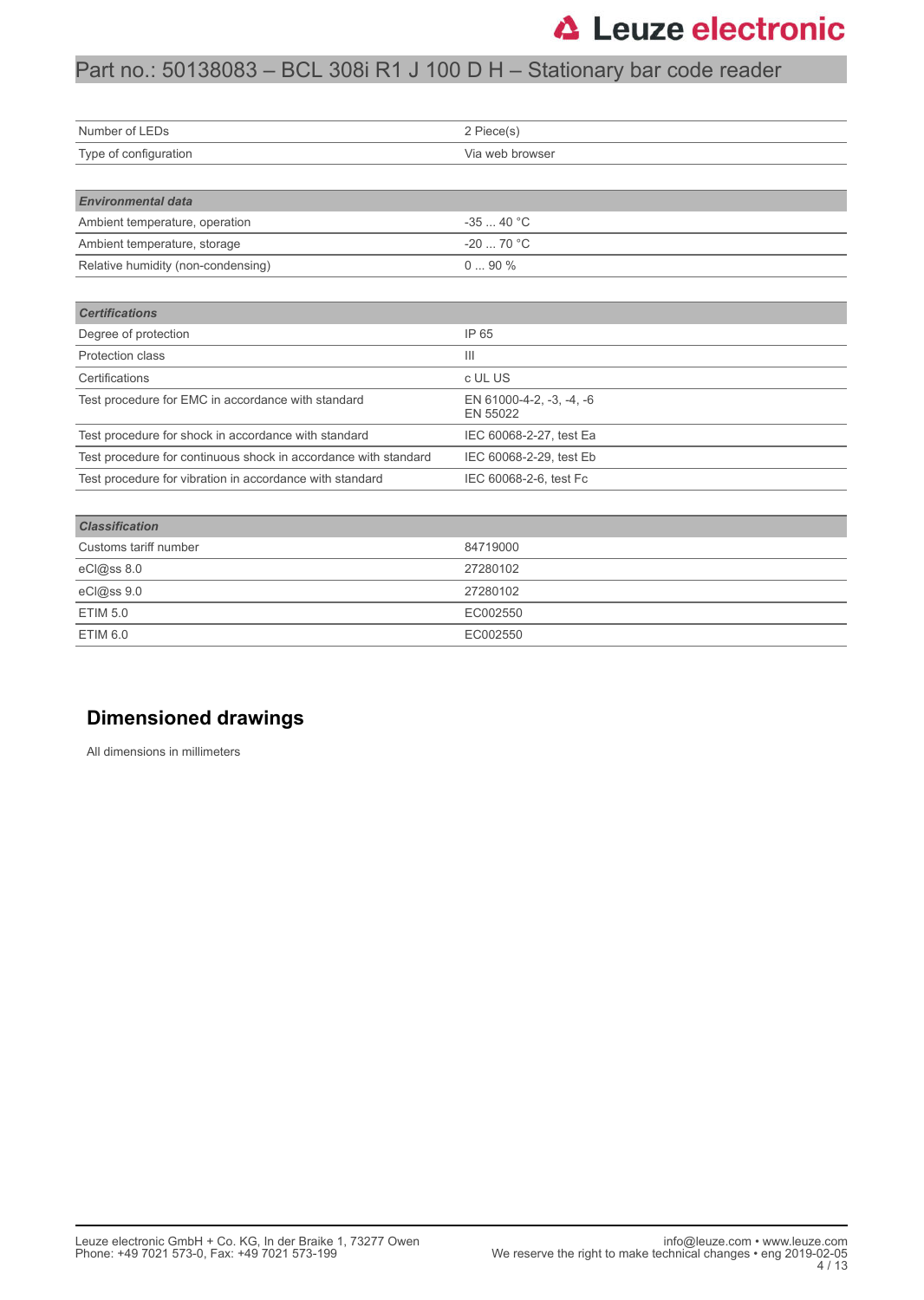# Part no.: 50138083 – BCL 308i R1 J 100 D H – Stationary bar code reader

| Number of LEDs                                                  | 2 Piece(s)                           |  |  |
|-----------------------------------------------------------------|--------------------------------------|--|--|
| Type of configuration                                           | Via web browser                      |  |  |
|                                                                 |                                      |  |  |
| <b>Environmental data</b>                                       |                                      |  |  |
| Ambient temperature, operation                                  | $-3540 °C$                           |  |  |
| Ambient temperature, storage                                    | $-2070 °C$                           |  |  |
| Relative humidity (non-condensing)                              | $090\%$                              |  |  |
|                                                                 |                                      |  |  |
| <b>Certifications</b>                                           |                                      |  |  |
| Degree of protection                                            | IP 65                                |  |  |
| <b>Protection class</b>                                         | $\mathbf{III}$                       |  |  |
| Certifications                                                  | c UL US                              |  |  |
| Test procedure for EMC in accordance with standard              | EN 61000-4-2, -3, -4, -6<br>EN 55022 |  |  |
| Test procedure for shock in accordance with standard            | IEC 60068-2-27, test Ea              |  |  |
| Test procedure for continuous shock in accordance with standard | IEC 60068-2-29, test Eb              |  |  |
| Test procedure for vibration in accordance with standard        | IEC 60068-2-6, test Fc               |  |  |

| <b>Classification</b> |          |  |
|-----------------------|----------|--|
| Customs tariff number | 84719000 |  |
| eCl@ss 8.0            | 27280102 |  |
| eCl@ss 9.0            | 27280102 |  |
| <b>ETIM 5.0</b>       | EC002550 |  |
| <b>ETIM 6.0</b>       | EC002550 |  |
|                       |          |  |

### **Dimensioned drawings**

All dimensions in millimeters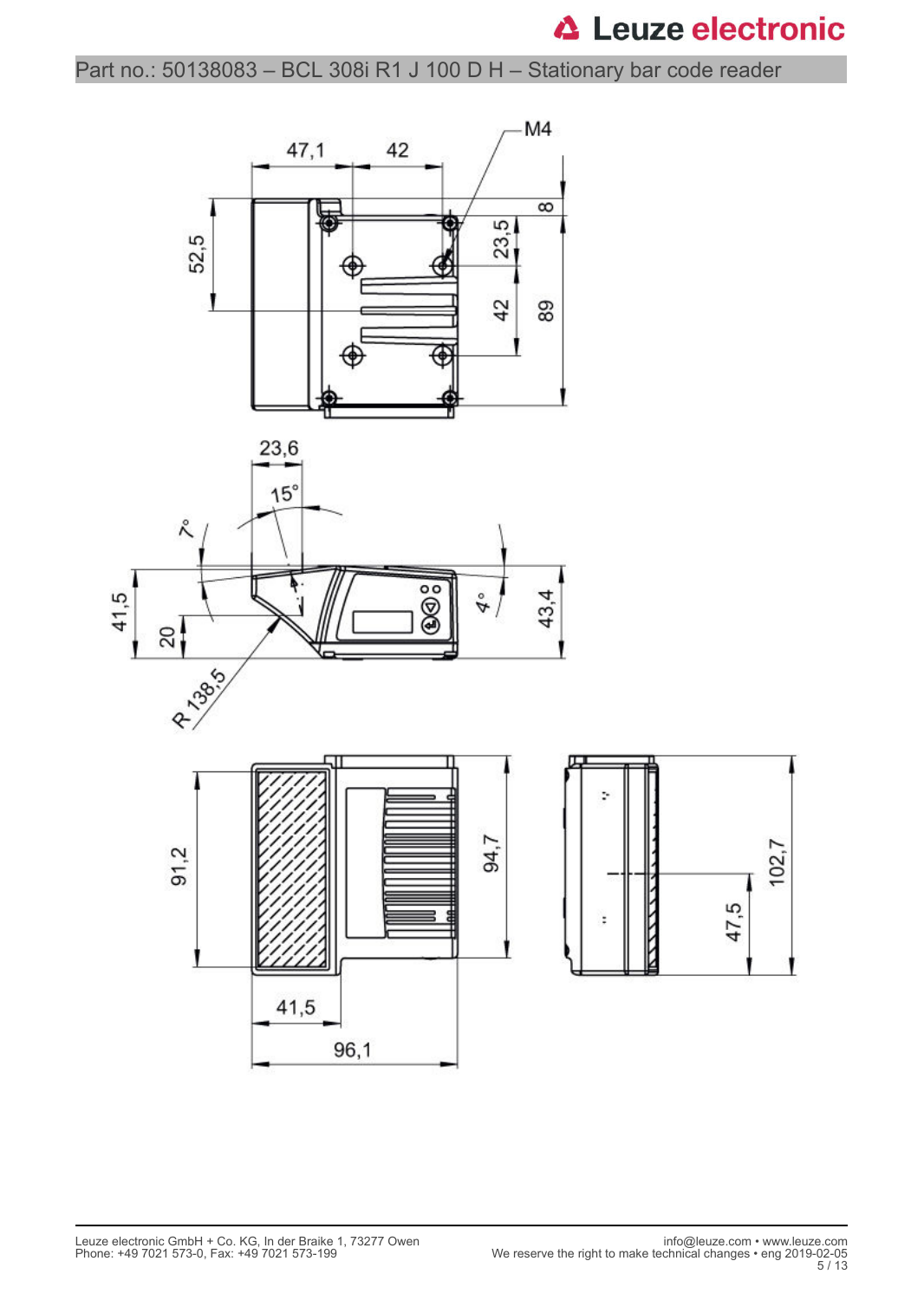Part no.: 50138083 – BCL 308i R1 J 100 D H – Stationary bar code reader

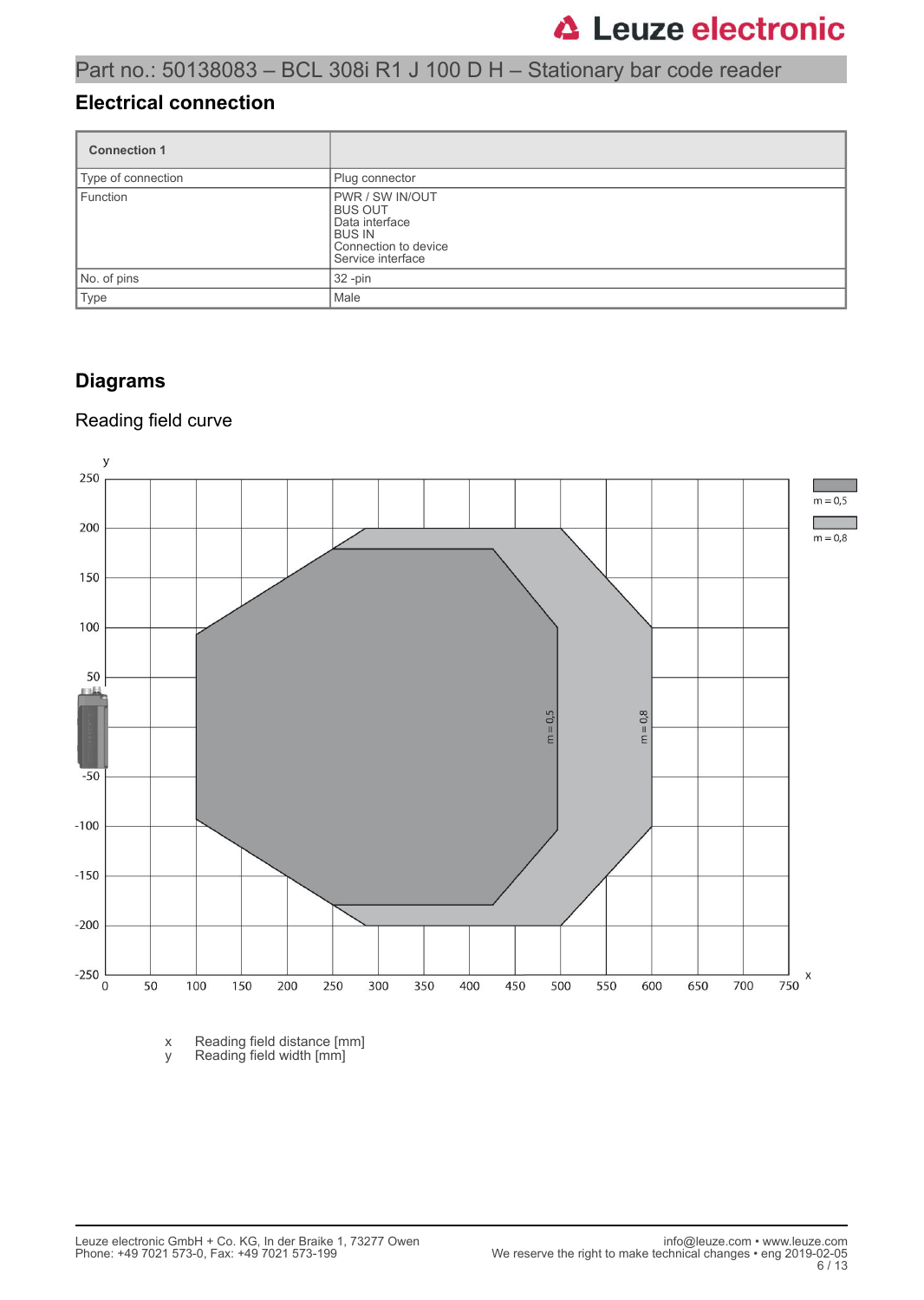### **Electrical connection**

| <b>Connection 1</b> |                                                                                                                          |  |
|---------------------|--------------------------------------------------------------------------------------------------------------------------|--|
| Type of connection  | Plug connector                                                                                                           |  |
| Function            | <b>PWR / SW IN/OUT</b><br><b>BUS OUT</b><br>Data interface<br><b>BUS IN</b><br>Connection to device<br>Service interface |  |
| No. of pins         | 32 -pin                                                                                                                  |  |
| Type                | Male                                                                                                                     |  |

### **Diagrams**

### Reading field curve



x Reading field distance [mm] y Reading field width [mm]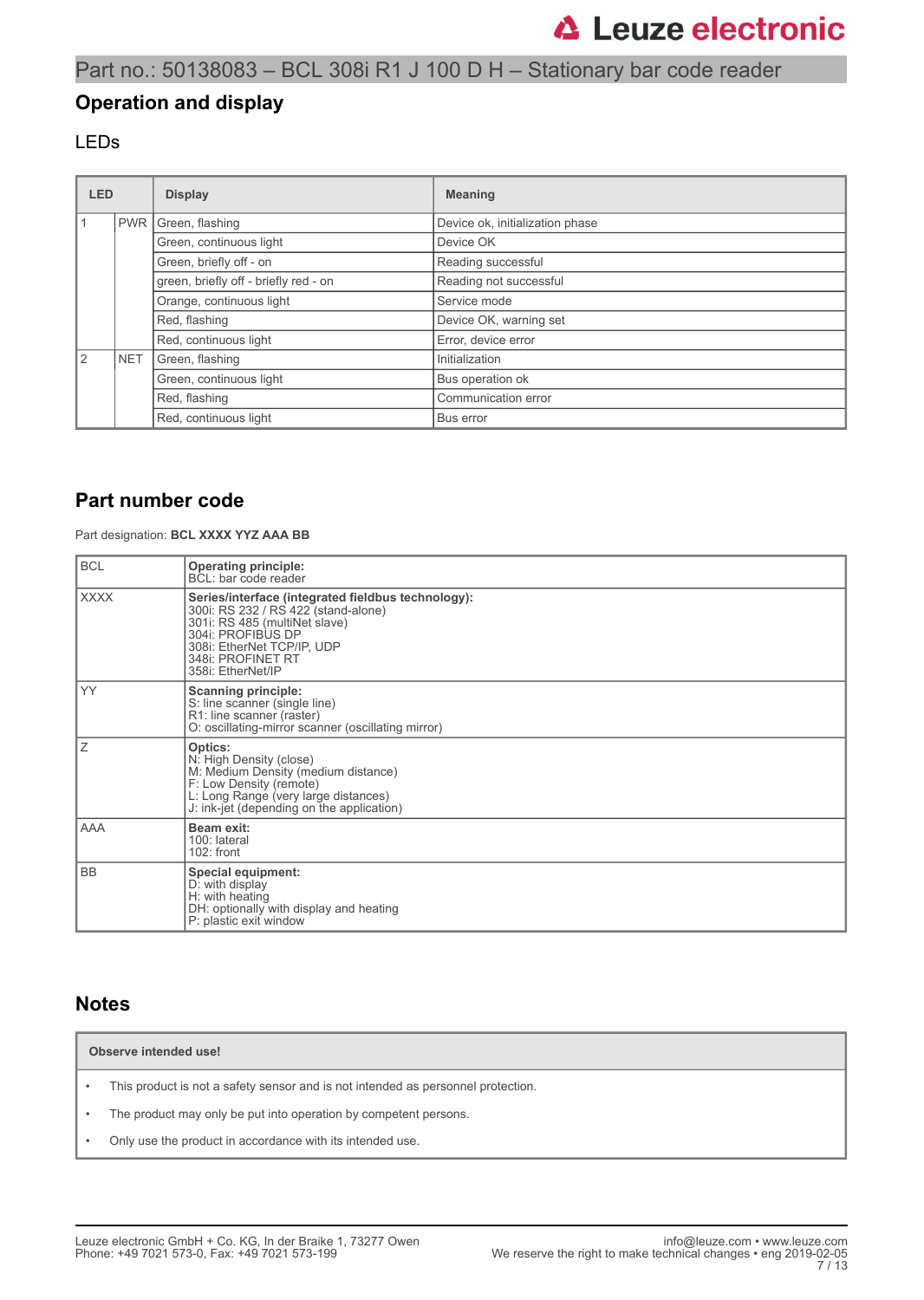### **Operation and display**

### LEDs

| <b>LED</b>    |                                           | <b>Display</b>                        | <b>Meaning</b>                  |  |
|---------------|-------------------------------------------|---------------------------------------|---------------------------------|--|
|               | <b>PWR</b>                                | Green, flashing                       | Device ok, initialization phase |  |
|               |                                           | Green, continuous light               | Device OK                       |  |
|               |                                           | Green, briefly off - on               | Reading successful              |  |
|               |                                           | green, briefly off - briefly red - on | Reading not successful          |  |
|               | Orange, continuous light<br>Red, flashing |                                       | Service mode                    |  |
|               |                                           |                                       | Device OK, warning set          |  |
|               |                                           | Red, continuous light                 | Error, device error             |  |
| $\mathcal{P}$ | <b>NET</b>                                | Green, flashing                       | Initialization                  |  |
|               |                                           | Green, continuous light               | Bus operation ok                |  |
|               |                                           | Red, flashing                         | Communication error             |  |
|               | Red, continuous light                     |                                       | Bus error                       |  |

### **Part number code**

Part designation: **BCL XXXX YYZ AAA BB**

| <b>BCL</b>  | <b>Operating principle:</b><br>BCL: bar code reader                                                                                                                                                                     |
|-------------|-------------------------------------------------------------------------------------------------------------------------------------------------------------------------------------------------------------------------|
| <b>XXXX</b> | Series/interface (integrated fieldbus technology):<br>300i: RS 232 / RS 422 (stand-alone)<br>301i: RS 485 (multiNet slave)<br>304i: PROFIBUS DP<br>308i: EtherNet TCP/IP, UDP<br>348i: PROFINET RT<br>358i: EtherNet/IP |
| YY.         | <b>Scanning principle:</b><br>S: line scanner (single line)<br>R1: line scanner (raster)<br>O: oscillating-mirror scanner (oscillating mirror)                                                                          |
| Ζ           | Optics:<br>N: High Density (close)<br>M: Medium Density (medium distance)<br>F: Low Density (remote)<br>L: Long Range (very large distances)<br>J: ink-jet (depending on the application)                               |
| AAA         | Beam exit:<br>100: lateral<br>$102:$ front                                                                                                                                                                              |
| <b>BB</b>   | Special equipment:<br>D: with display<br>H: with heating<br>DH: optionally with display and heating<br>P: plastic exit window                                                                                           |

### **Notes**

**Observe intended use!**

- This product is not a safety sensor and is not intended as personnel protection.
- The product may only be put into operation by competent persons.
- Only use the product in accordance with its intended use.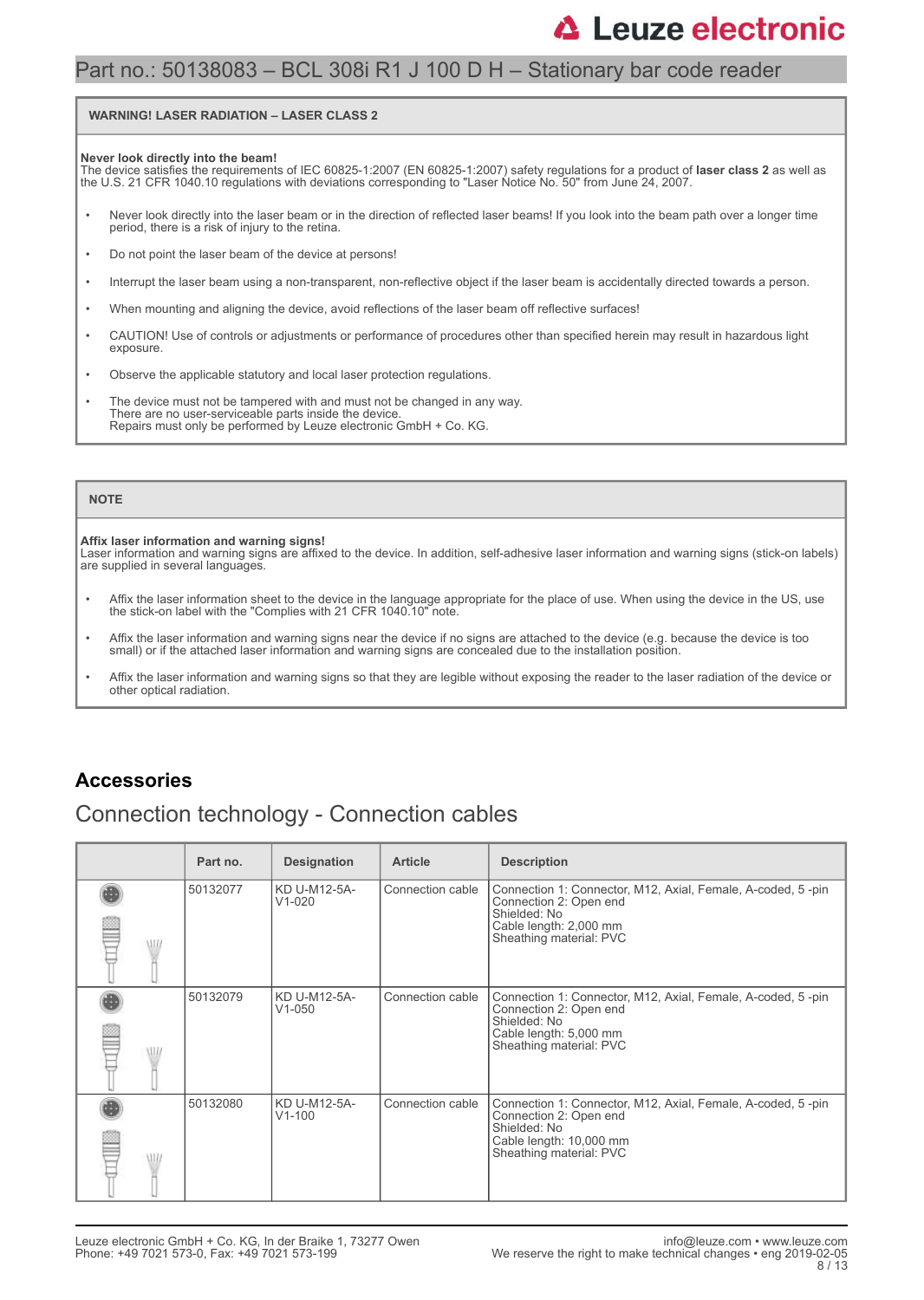### Part no.: 50138083 – BCL 308i R1 J 100 D H – Stationary bar code reader

#### **WARNING! LASER RADIATION – LASER CLASS 2**

#### **Never look directly into the beam!**

The device satisfies the requirements of IEC 60825-1:2007 (EN 60825-1:2007) safety regulations for a product of **laser class 2** as well as<br>the U.S. 21 CFR 1040.10 regulations with deviations corresponding to "Laser Notice

- Never look directly into the laser beam or in the direction of reflected laser beams! If you look into the beam path over a longer time period, there is a risk of injury to the retina.
- Do not point the laser beam of the device at persons!
- Interrupt the laser beam using a non-transparent, non-reflective object if the laser beam is accidentally directed towards a person.
- When mounting and aligning the device, avoid reflections of the laser beam off reflective surfaces!
- CAUTION! Use of controls or adjustments or performance of procedures other than specified herein may result in hazardous light exposure.
- Observe the applicable statutory and local laser protection regulations.
- The device must not be tampered with and must not be changed in any way. There are no user-serviceable parts inside the device. Repairs must only be performed by Leuze electronic GmbH + Co. KG.

#### **NOTE**

#### **Affix laser information and warning signs!**

Laser information and warning signs are affixed to the device. In addition, self-adhesive laser information and warning signs (stick-on labels) are supplied in several languages.

- Affix the laser information sheet to the device in the language appropriate for the place of use. When using the device in the US, use the stick-on label with the "Complies with 21 CFR 1040.10" note.
- Affix the laser information and warning signs near the device if no signs are attached to the device (e.g. because the device is too small) or if the attached laser information and warning signs are concealed due to the installation position.
- Affix the laser information and warning signs so that they are legible without exposing the reader to the laser radiation of the device or other optical radiation.

### **Accessories**

## Connection technology - Connection cables

|       | Part no. | <b>Designation</b>         | <b>Article</b>   | <b>Description</b>                                                                                                                                          |
|-------|----------|----------------------------|------------------|-------------------------------------------------------------------------------------------------------------------------------------------------------------|
| ALLI. | 50132077 | KD U-M12-5A-<br>$V1-020$   | Connection cable | Connection 1: Connector, M12, Axial, Female, A-coded, 5-pin<br>Connection 2: Open end<br>Shielded: No<br>Cable length: 2,000 mm<br>Sheathing material: PVC  |
| \HL   | 50132079 | KD U-M12-5A-<br>$V1 - 050$ | Connection cable | Connection 1: Connector, M12, Axial, Female, A-coded, 5-pin<br>Connection 2: Open end<br>Shielded: No<br>Cable length: 5,000 mm<br>Sheathing material: PVC  |
| ALLI. | 50132080 | KD U-M12-5A-<br>$V1 - 100$ | Connection cable | Connection 1: Connector, M12, Axial, Female, A-coded, 5-pin<br>Connection 2: Open end<br>Shielded: No<br>Cable length: 10,000 mm<br>Sheathing material: PVC |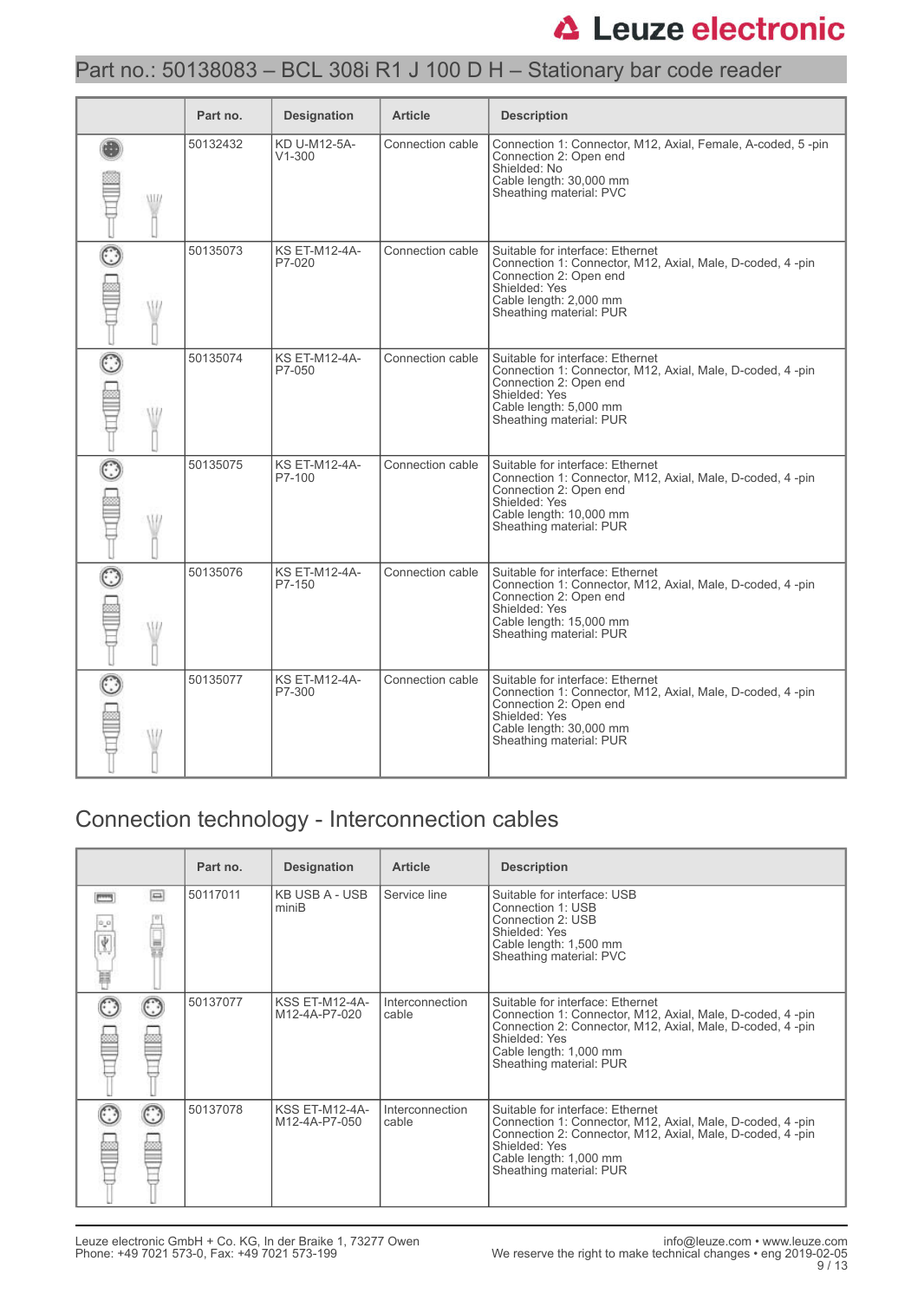# Part no.: 50138083 – BCL 308i R1 J 100 D H – Stationary bar code reader

|     | Part no. | <b>Designation</b>             | <b>Article</b>   | <b>Description</b>                                                                                                                                                                              |
|-----|----------|--------------------------------|------------------|-------------------------------------------------------------------------------------------------------------------------------------------------------------------------------------------------|
| WII | 50132432 | KD U-M12-5A-<br>$V1 - 300$     | Connection cable | Connection 1: Connector, M12, Axial, Female, A-coded, 5-pin<br>Connection 2: Open end<br>Shielded: No<br>Cable length: 30,000 mm<br>Sheathing material: PVC                                     |
| W   | 50135073 | <b>KS ET-M12-4A-</b><br>P7-020 | Connection cable | Suitable for interface: Ethernet<br>Connection 1: Connector, M12, Axial, Male, D-coded, 4 -pin<br>Connection 2: Open end<br>Shielded: Yes<br>Cable length: 2,000 mm<br>Sheathing material: PUR  |
|     | 50135074 | <b>KS ET-M12-4A-</b><br>P7-050 | Connection cable | Suitable for interface: Ethernet<br>Connection 1: Connector, M12, Axial, Male, D-coded, 4 -pin<br>Connection 2: Open end<br>Shielded: Yes<br>Cable length: 5,000 mm<br>Sheathing material: PUR  |
|     | 50135075 | <b>KS ET-M12-4A-</b><br>P7-100 | Connection cable | Suitable for interface: Ethernet<br>Connection 1: Connector, M12, Axial, Male, D-coded, 4 -pin<br>Connection 2: Open end<br>Shielded: Yes<br>Cable length: 10,000 mm<br>Sheathing material: PUR |
| W   | 50135076 | <b>KS ET-M12-4A-</b><br>P7-150 | Connection cable | Suitable for interface: Ethernet<br>Connection 1: Connector, M12, Axial, Male, D-coded, 4 -pin<br>Connection 2: Open end<br>Shielded: Yes<br>Cable length: 15,000 mm<br>Sheathing material: PUR |
|     | 50135077 | <b>KS ET-M12-4A-</b><br>P7-300 | Connection cable | Suitable for interface: Ethernet<br>Connection 1: Connector, M12, Axial, Male, D-coded, 4 -pin<br>Connection 2: Open end<br>Shielded: Yes<br>Cable length: 30,000 mm<br>Sheathing material: PUR |

# Connection technology - Interconnection cables

|         |                         | Part no. | <b>Designation</b>                     | <b>Article</b>           | <b>Description</b>                                                                                                                                                                                                               |
|---------|-------------------------|----------|----------------------------------------|--------------------------|----------------------------------------------------------------------------------------------------------------------------------------------------------------------------------------------------------------------------------|
| Ý.<br>U | $\left  \equiv \right $ | 50117011 | KB USB A - USB<br>miniB                | Service line             | Suitable for interface: USB<br>Connection 1: USB<br>Connection 2: USB<br>Shielded: Yes<br>Cable length: 1,500 mm<br>Sheathing material: PVC                                                                                      |
|         |                         | 50137077 | <b>KSS ET-M12-4A-</b><br>M12-4A-P7-020 | Interconnection<br>cable | Suitable for interface: Ethernet<br>Connection 1: Connector, M12, Axial, Male, D-coded, 4-pin<br>Connection 2: Connector, M12, Axial, Male, D-coded, 4-pin<br>Shielded: Yes<br>Cable length: 1,000 mm<br>Sheathing material: PUR |
|         |                         | 50137078 | <b>KSS ET-M12-4A-</b><br>M12-4A-P7-050 | Interconnection<br>cable | Suitable for interface: Ethernet<br>Connection 1: Connector, M12, Axial, Male, D-coded, 4-pin<br>Connection 2: Connector, M12, Axial, Male, D-coded, 4-pin<br>Shielded: Yes<br>Cable length: 1,000 mm<br>Sheathing material: PUR |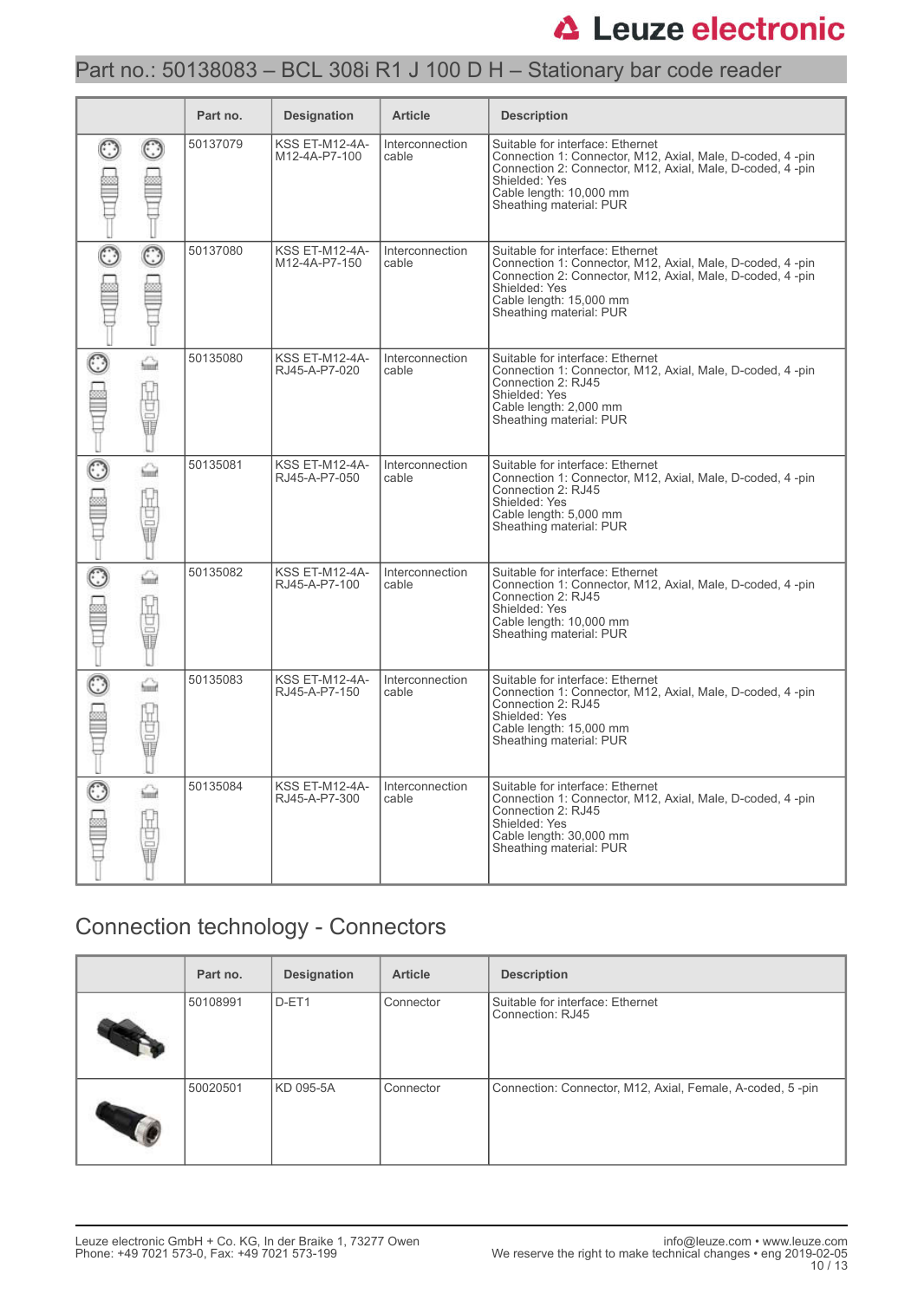# Part no.: 50138083 – BCL 308i R1 J 100 D H – Stationary bar code reader

|                  | Part no. | <b>Designation</b>                     | <b>Article</b>           | <b>Description</b>                                                                                                                                                                                                                 |
|------------------|----------|----------------------------------------|--------------------------|------------------------------------------------------------------------------------------------------------------------------------------------------------------------------------------------------------------------------------|
|                  | 50137079 | <b>KSS ET-M12-4A-</b><br>M12-4A-P7-100 | Interconnection<br>cable | Suitable for interface: Ethernet<br>Connection 1: Connector, M12, Axial, Male, D-coded, 4 -pin<br>Connection 2: Connector, M12, Axial, Male, D-coded, 4-pin<br>Shielded: Yes<br>Cable length: 10,000 mm<br>Sheathing material: PUR |
|                  | 50137080 | <b>KSS ET-M12-4A-</b><br>M12-4A-P7-150 | Interconnection<br>cable | Suitable for interface: Ethernet<br>Connection 1: Connector, M12, Axial, Male, D-coded, 4-pin<br>Connection 2: Connector, M12, Axial, Male, D-coded, 4-pin<br>Shielded: Yes<br>Cable length: 15,000 mm<br>Sheathing material: PUR  |
| ⇔<br>ÿ<br>I      | 50135080 | <b>KSS ET-M12-4A-</b><br>RJ45-A-P7-020 | Interconnection<br>cable | Suitable for interface: Ethernet<br>Connection 1: Connector, M12, Axial, Male, D-coded, 4-pin<br>Connection 2: RJ45<br>Shielded: Yes<br>Cable length: 2,000 mm<br>Sheathing material: PUR                                          |
| ⇔<br>Ū<br>o<br>ī | 50135081 | <b>KSS ET-M12-4A-</b><br>RJ45-A-P7-050 | Interconnection<br>cable | Suitable for interface: Ethernet<br>Connection 1: Connector, M12, Axial, Male, D-coded, 4-pin<br>Connection 2: RJ45<br>Shielded: Yes<br>Cable length: 5,000 mm<br>Sheathing material: PUR                                          |
| ⇔<br>ā<br>ō<br>Ū | 50135082 | <b>KSS ET-M12-4A-</b><br>RJ45-A-P7-100 | Interconnection<br>cable | Suitable for interface: Ethernet<br>Connection 1: Connector, M12, Axial, Male, D-coded, 4-pin<br>Connection 2: RJ45<br>Shielded: Yes<br>Cable length: 10,000 mm<br>Sheathing material: PUR                                         |
| ۵<br>I           | 50135083 | <b>KSS ET-M12-4A-</b><br>RJ45-A-P7-150 | Interconnection<br>cable | Suitable for interface: Ethernet<br>Connection 1: Connector, M12, Axial, Male, D-coded, 4-pin<br>Connection 2: RJ45<br>Shielded: Yes<br>Cable length: 15,000 mm<br>Sheathing material: PUR                                         |
| ♤<br>₫<br>⋾      | 50135084 | <b>KSS ET-M12-4A-</b><br>RJ45-A-P7-300 | Interconnection<br>cable | Suitable for interface: Ethernet<br>Connection 1: Connector, M12, Axial, Male, D-coded, 4-pin<br>Connection 2: RJ45<br>Shielded: Yes<br>Cable length: 30,000 mm<br>Sheathing material: PUR                                         |

# Connection technology - Connectors

| Part no. | <b>Designation</b> | <b>Article</b> | <b>Description</b>                                        |
|----------|--------------------|----------------|-----------------------------------------------------------|
| 50108991 | D-ET1              | Connector      | Suitable for interface: Ethernet<br>Connection: RJ45      |
| 50020501 | KD 095-5A          | Connector      | Connection: Connector, M12, Axial, Female, A-coded, 5-pin |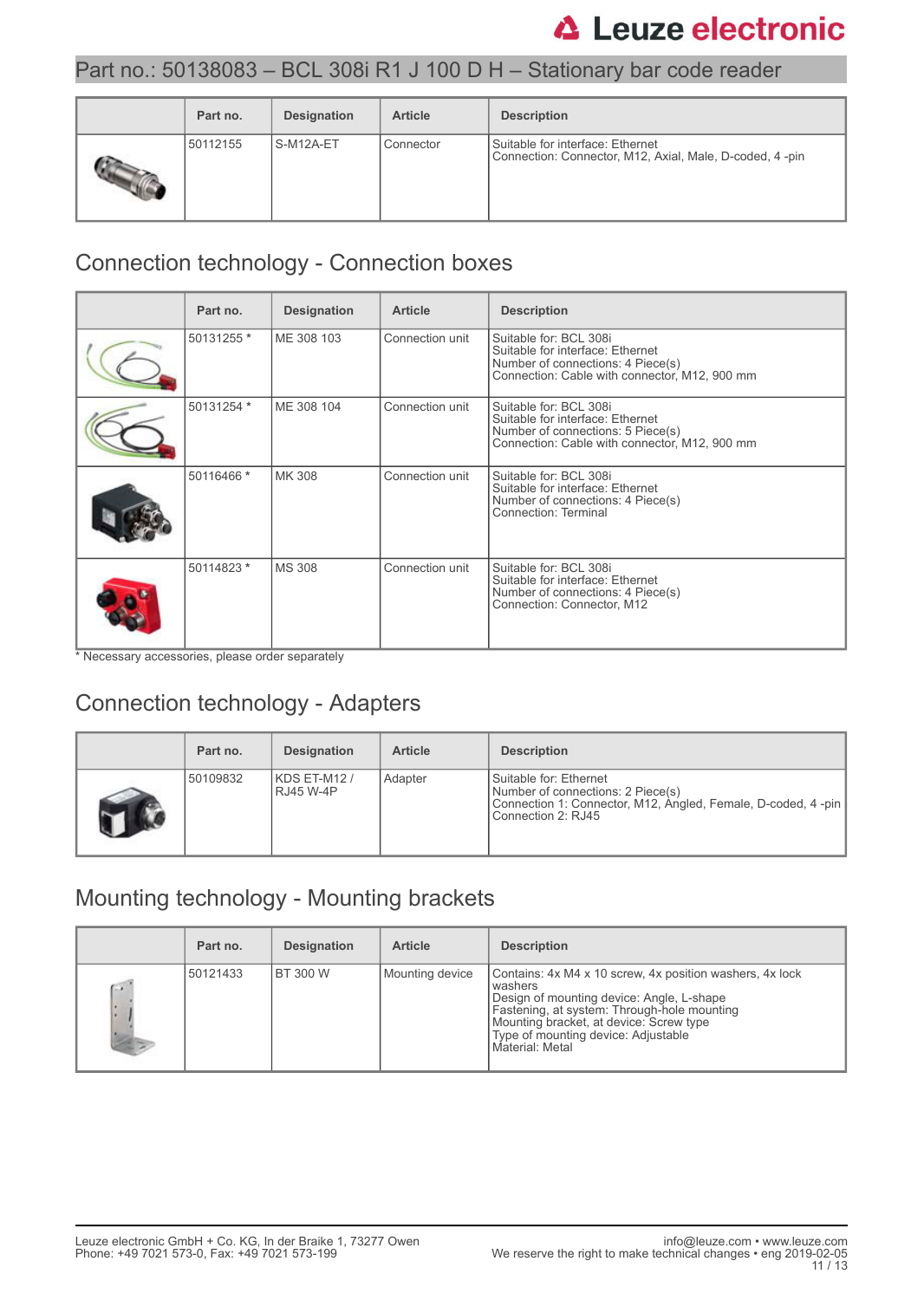## Part no.: 50138083 – BCL 308i R1 J 100 D H – Stationary bar code reader

| Part no. | <b>Designation</b> | <b>Article</b> | <b>Description</b>                                                                          |
|----------|--------------------|----------------|---------------------------------------------------------------------------------------------|
| 50112155 | S-M12A-ET          | Connector      | Suitable for interface: Ethernet<br>Connection: Connector, M12, Axial, Male, D-coded, 4-pin |

# Connection technology - Connection boxes

| Part no.   | <b>Designation</b> | <b>Article</b>  | <b>Description</b>                                                                                                                               |
|------------|--------------------|-----------------|--------------------------------------------------------------------------------------------------------------------------------------------------|
| 50131255 * | ME 308 103         | Connection unit | Suitable for: BCL 308i<br>Suitable for interface: Ethernet<br>Number of connections: 4 Piece(s)<br>Connection: Cable with connector, M12, 900 mm |
| 50131254 * | ME 308 104         | Connection unit | Suitable for: BCL 308i<br>Suitable for interface: Ethernet<br>Number of connections: 5 Piece(s)<br>Connection: Cable with connector, M12, 900 mm |
| 50116466 * | MK 308             | Connection unit | Suitable for: BCL 308i<br>Suitable for interface: Ethernet<br>Number of connections: 4 Piece(s)<br>Connection: Terminal                          |
| 50114823 * | <b>MS 308</b>      | Connection unit | Suitable for: BCL 308i<br>Suitable for interface: Ethernet<br>Number of connections: 4 Piece(s)<br>Connection: Connector, M12                    |

\* Necessary accessories, please order separately

# Connection technology - Adapters

| Part no. | <b>Designation</b>        | <b>Article</b> | <b>Description</b>                                                                                                                                |
|----------|---------------------------|----------------|---------------------------------------------------------------------------------------------------------------------------------------------------|
| 50109832 | KDS ET-M12 /<br>RJ45 W-4P | Adapter        | Suitable for: Ethernet<br>Number of connections: 2 Piece(s)<br>Connection 1: Connector, M12, Angled, Female, D-coded, 4-pin<br>Connection 2: RJ45 |

# Mounting technology - Mounting brackets

|    | Part no. | <b>Designation</b> | <b>Article</b>  | <b>Description</b>                                                                                                                                                                                                                                                   |
|----|----------|--------------------|-----------------|----------------------------------------------------------------------------------------------------------------------------------------------------------------------------------------------------------------------------------------------------------------------|
| S. | 50121433 | <b>BT 300 W</b>    | Mounting device | Contains: 4x M4 x 10 screw, 4x position washers, 4x lock<br>washers<br>Design of mounting device: Angle, L-shape<br>Fastening, at system: Through-hole mounting<br>Mounting bracket, at device: Screw type<br>Type of mounting device: Adjustable<br>Material: Metal |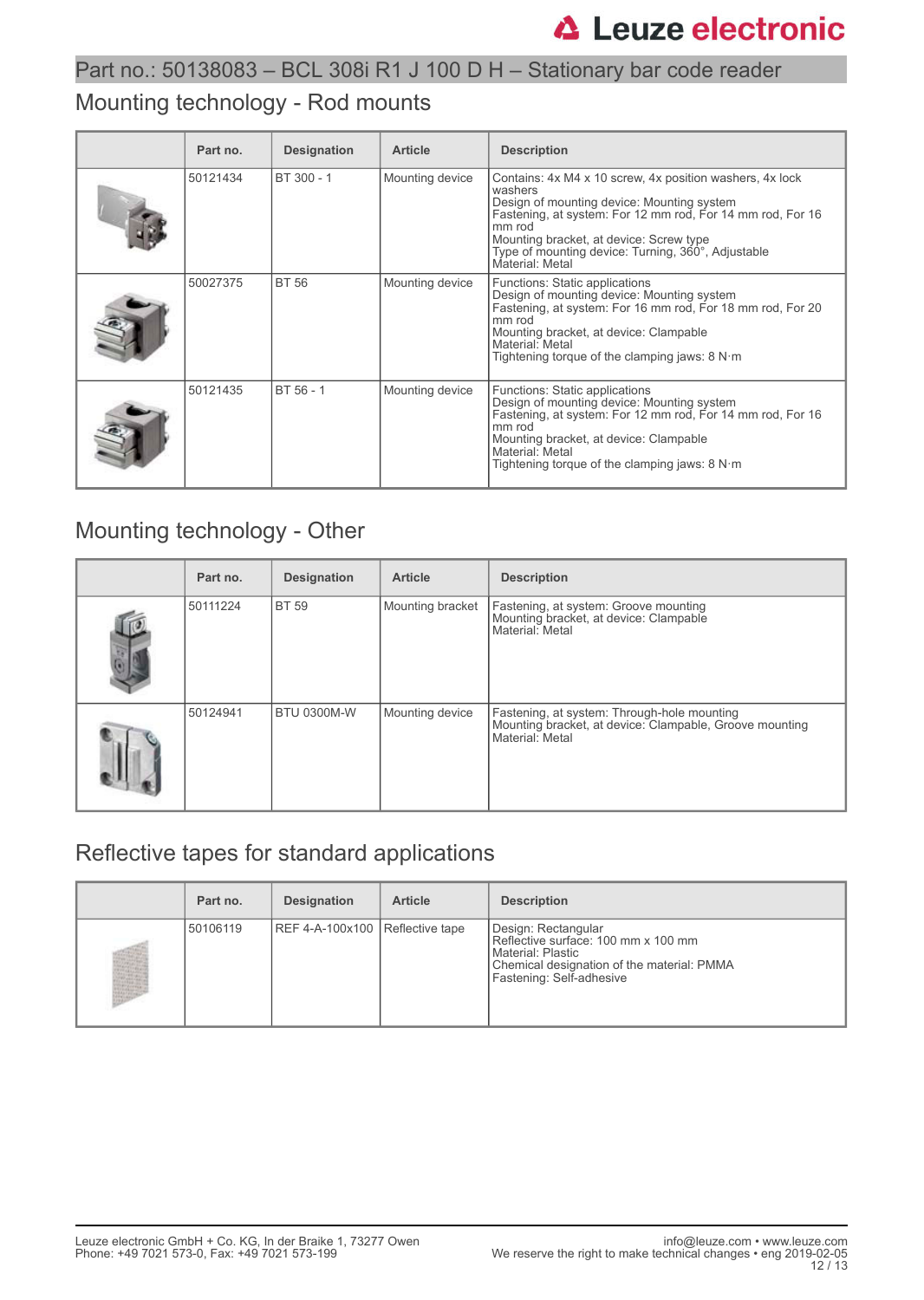# Mounting technology - Rod mounts

| Part no. | <b>Designation</b> | <b>Article</b>  | <b>Description</b>                                                                                                                                                                                                                                                                                            |
|----------|--------------------|-----------------|---------------------------------------------------------------------------------------------------------------------------------------------------------------------------------------------------------------------------------------------------------------------------------------------------------------|
| 50121434 | BT 300 - 1         | Mounting device | Contains: 4x M4 x 10 screw, 4x position washers, 4x lock<br>washers<br>Design of mounting device: Mounting system<br>Fastening, at system: For 12 mm rod, For 14 mm rod, For 16<br>mm rod<br>Mounting bracket, at device: Screw type<br>Type of mounting device: Turning, 360°, Adjustable<br>Material: Metal |
| 50027375 | <b>BT 56</b>       | Mounting device | Functions: Static applications<br>Design of mounting device: Mounting system<br>Fastening, at system: For 16 mm rod, For 18 mm rod, For 20<br>mm rod<br>Mounting bracket, at device: Clampable<br>Material: Metal<br>Tightening torque of the clamping jaws: $8 N·m$                                          |
| 50121435 | BT 56 - 1          | Mounting device | Functions: Static applications<br>Design of mounting device: Mounting system<br>Fastening, at system: For 12 mm rod, For 14 mm rod, For 16<br>mm rod<br>Mounting bracket, at device: Clampable<br>Material: Metal<br>Tightening torque of the clamping jaws: $8 N·m$                                          |

## Mounting technology - Other

| Part no. | <b>Designation</b> | <b>Article</b>   | <b>Description</b>                                                                                                        |
|----------|--------------------|------------------|---------------------------------------------------------------------------------------------------------------------------|
| 50111224 | <b>BT 59</b>       | Mounting bracket | Fastening, at system: Groove mounting<br>Mounting bracket, at device: Clampable<br>Material: Metal                        |
| 50124941 | <b>BTU 0300M-W</b> | Mounting device  | Fastening, at system: Through-hole mounting<br>Mounting bracket, at device: Clampable, Groove mounting<br>Material: Metal |

# Reflective tapes for standard applications

| Part no. | <b>Designation</b>              | <b>Article</b> | <b>Description</b>                                                                                                                                          |
|----------|---------------------------------|----------------|-------------------------------------------------------------------------------------------------------------------------------------------------------------|
| 50106119 | REF 4-A-100x100 Reflective tape |                | Design: Rectangular<br>Reflective surface: 100 mm x 100 mm<br>l Material: Plastic<br>Chemical designation of the material: PMMA<br>Fastening: Self-adhesive |